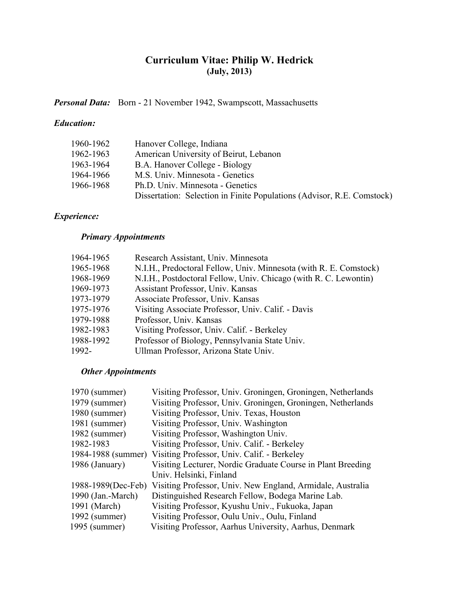# **Curriculum Vitae: Philip W. Hedrick (July, 2013)**

Personal Data: Born - 21 November 1942, Swampscott, Massachusetts

### *Education:*

| 1960-1962 | Hanover College, Indiana                                               |
|-----------|------------------------------------------------------------------------|
| 1962-1963 | American University of Beirut, Lebanon                                 |
| 1963-1964 | B.A. Hanover College - Biology                                         |
| 1964-1966 | M.S. Univ. Minnesota - Genetics                                        |
| 1966-1968 | Ph.D. Univ. Minnesota - Genetics                                       |
|           | Dissertation: Selection in Finite Populations (Advisor, R.E. Comstock) |

# *Experience:*

## *Primary Appointments*

| 1964-1965 | Research Assistant, Univ. Minnesota                               |
|-----------|-------------------------------------------------------------------|
| 1965-1968 | N.I.H., Predoctoral Fellow, Univ. Minnesota (with R. E. Comstock) |
| 1968-1969 | N.I.H., Postdoctoral Fellow, Univ. Chicago (with R. C. Lewontin)  |
| 1969-1973 | Assistant Professor, Univ. Kansas                                 |
| 1973-1979 | Associate Professor, Univ. Kansas                                 |
| 1975-1976 | Visiting Associate Professor, Univ. Calif. - Davis                |
| 1979-1988 | Professor, Univ. Kansas                                           |
| 1982-1983 | Visiting Professor, Univ. Calif. - Berkeley                       |
| 1988-1992 | Professor of Biology, Pennsylvania State Univ.                    |
| 1992-     | Ullman Professor, Arizona State Univ.                             |

### *Other Appointments*

| 1970 (summer)     | Visiting Professor, Univ. Groningen, Groningen, Netherlands                    |
|-------------------|--------------------------------------------------------------------------------|
| 1979 (summer)     | Visiting Professor, Univ. Groningen, Groningen, Netherlands                    |
| $1980$ (summer)   | Visiting Professor, Univ. Texas, Houston                                       |
| 1981 (summer)     | Visiting Professor, Univ. Washington                                           |
| 1982 (summer)     | Visiting Professor, Washington Univ.                                           |
| 1982-1983         | Visiting Professor, Univ. Calif. - Berkeley                                    |
|                   | 1984-1988 (summer) Visiting Professor, Univ. Calif. - Berkeley                 |
| 1986 (January)    | Visiting Lecturer, Nordic Graduate Course in Plant Breeding                    |
|                   | Univ. Helsinki, Finland                                                        |
|                   | 1988-1989 (Dec-Feb) Visiting Professor, Univ. New England, Armidale, Australia |
| 1990 (Jan.-March) | Distinguished Research Fellow, Bodega Marine Lab.                              |
| 1991 (March)      | Visiting Professor, Kyushu Univ., Fukuoka, Japan                               |
| $1992$ (summer)   | Visiting Professor, Oulu Univ., Oulu, Finland                                  |
| 1995 (summer)     | Visiting Professor, Aarhus University, Aarhus, Denmark                         |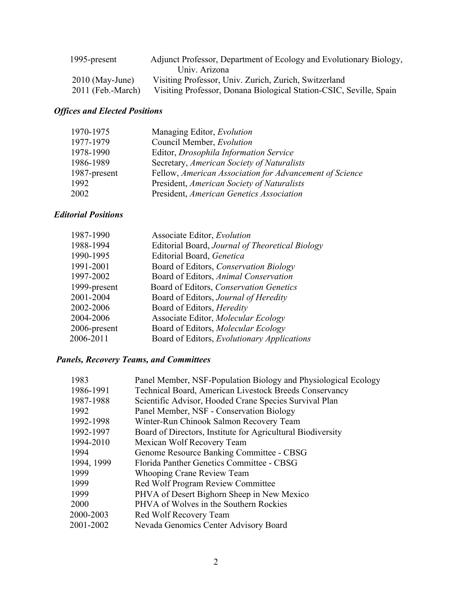| 1995-present        | Adjunct Professor, Department of Ecology and Evolutionary Biology, |
|---------------------|--------------------------------------------------------------------|
|                     | Univ. Arizona                                                      |
| $2010$ (May-June)   | Visiting Professor, Univ. Zurich, Zurich, Switzerland              |
| $2011$ (Feb.-March) | Visiting Professor, Donana Biological Station-CSIC, Seville, Spain |

# *Offices and Elected Positions*

| Managing Editor, Evolution                              |
|---------------------------------------------------------|
| Council Member, Evolution                               |
| Editor, Drosophila Information Service                  |
| Secretary, American Society of Naturalists              |
| Fellow, American Association for Advancement of Science |
| President, American Society of Naturalists              |
| President, American Genetics Association                |
|                                                         |

## *Editorial Positions*

| 1987-1990    | Associate Editor, Evolution                     |
|--------------|-------------------------------------------------|
| 1988-1994    | Editorial Board, Journal of Theoretical Biology |
| 1990-1995    | Editorial Board, Genetica                       |
| 1991-2001    | Board of Editors, Conservation Biology          |
| 1997-2002    | Board of Editors, Animal Conservation           |
| 1999-present | Board of Editors, Conservation Genetics         |
| 2001-2004    | Board of Editors, Journal of Heredity           |
| 2002-2006    | Board of Editors, <i>Heredity</i>               |
| 2004-2006    | Associate Editor, Molecular Ecology             |
| 2006-present | Board of Editors, Molecular Ecology             |
| 2006-2011    | Board of Editors, Evolutionary Applications     |

# *Panels, Recovery Teams, and Committees*

| 1983       | Panel Member, NSF-Population Biology and Physiological Ecology |
|------------|----------------------------------------------------------------|
| 1986-1991  | Technical Board, American Livestock Breeds Conservancy         |
| 1987-1988  | Scientific Advisor, Hooded Crane Species Survival Plan         |
| 1992       | Panel Member, NSF - Conservation Biology                       |
| 1992-1998  | Winter-Run Chinook Salmon Recovery Team                        |
| 1992-1997  | Board of Directors, Institute for Agricultural Biodiversity    |
| 1994-2010  | Mexican Wolf Recovery Team                                     |
| 1994       | Genome Resource Banking Committee - CBSG                       |
| 1994, 1999 | Florida Panther Genetics Committee - CBSG                      |
| 1999       | Whooping Crane Review Team                                     |
| 1999       | Red Wolf Program Review Committee                              |
| 1999       | PHVA of Desert Bighorn Sheep in New Mexico                     |
| 2000       | PHVA of Wolves in the Southern Rockies                         |
| 2000-2003  | Red Wolf Recovery Team                                         |
| 2001-2002  | Nevada Genomics Center Advisory Board                          |
|            |                                                                |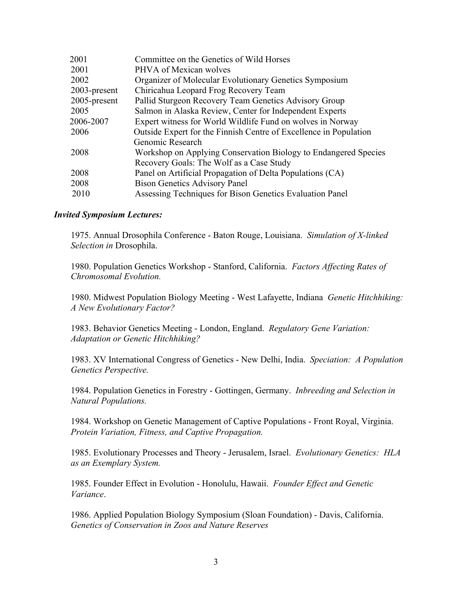| 2001         | Committee on the Genetics of Wild Horses                          |
|--------------|-------------------------------------------------------------------|
| 2001         | PHVA of Mexican wolves                                            |
| 2002         | Organizer of Molecular Evolutionary Genetics Symposium            |
| 2003-present | Chiricahua Leopard Frog Recovery Team                             |
| 2005-present | Pallid Sturgeon Recovery Team Genetics Advisory Group             |
| 2005         | Salmon in Alaska Review, Center for Independent Experts           |
| 2006-2007    | Expert witness for World Wildlife Fund on wolves in Norway        |
| 2006         | Outside Expert for the Finnish Centre of Excellence in Population |
|              | Genomic Research                                                  |
| 2008         | Workshop on Applying Conservation Biology to Endangered Species   |
|              | Recovery Goals: The Wolf as a Case Study                          |
| 2008         | Panel on Artificial Propagation of Delta Populations (CA)         |
| 2008         | <b>Bison Genetics Advisory Panel</b>                              |
| 2010         | Assessing Techniques for Bison Genetics Evaluation Panel          |
|              |                                                                   |

#### *Invited Symposium Lectures:*

1975. Annual Drosophila Conference - Baton Rouge, Louisiana. *Simulation of X-linked Selection in* Drosophila.

1980. Population Genetics Workshop - Stanford, California. *Factors Affecting Rates of Chromosomal Evolution.*

1980. Midwest Population Biology Meeting - West Lafayette, Indiana *Genetic Hitchhiking: A New Evolutionary Factor?*

1983. Behavior Genetics Meeting - London, England. *Regulatory Gene Variation: Adaptation or Genetic Hitchhiking?*

1983. XV International Congress of Genetics - New Delhi, India. *Speciation: A Population Genetics Perspective.*

1984. Population Genetics in Forestry - Gottingen, Germany. *Inbreeding and Selection in Natural Populations.*

1984. Workshop on Genetic Management of Captive Populations - Front Royal, Virginia. *Protein Variation, Fitness, and Captive Propagation.*

1985. Evolutionary Processes and Theory - Jerusalem, Israel. *Evolutionary Genetics: HLA as an Exemplary System.*

1985. Founder Effect in Evolution - Honolulu, Hawaii. *Founder Effect and Genetic Variance*.

1986. Applied Population Biology Symposium (Sloan Foundation) - Davis, California. *Genetics of Conservation in Zoos and Nature Reserves*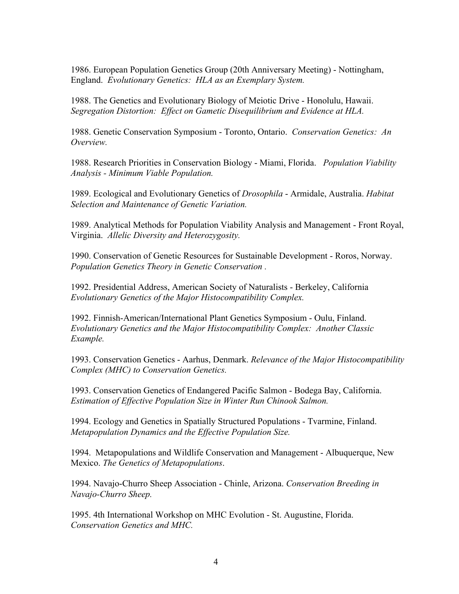1986. European Population Genetics Group (20th Anniversary Meeting) - Nottingham, England. *Evolutionary Genetics: HLA as an Exemplary System.*

1988. The Genetics and Evolutionary Biology of Meiotic Drive - Honolulu, Hawaii. *Segregation Distortion: Effect on Gametic Disequilibrium and Evidence at HLA.*

1988. Genetic Conservation Symposium - Toronto, Ontario. *Conservation Genetics: An Overview.*

1988. Research Priorities in Conservation Biology - Miami, Florida. *Population Viability Analysis - Minimum Viable Population.*

1989. Ecological and Evolutionary Genetics of *Drosophila* - Armidale, Australia. *Habitat Selection and Maintenance of Genetic Variation.*

1989. Analytical Methods for Population Viability Analysis and Management - Front Royal, Virginia. *Allelic Diversity and Heterozygosity.*

1990. Conservation of Genetic Resources for Sustainable Development - Roros, Norway. *Population Genetics Theory in Genetic Conservation .*

1992. Presidential Address, American Society of Naturalists - Berkeley, California *Evolutionary Genetics of the Major Histocompatibility Complex.*

1992. Finnish-American/International Plant Genetics Symposium - Oulu, Finland. *Evolutionary Genetics and the Major Histocompatibility Complex: Another Classic Example.*

1993. Conservation Genetics - Aarhus, Denmark. *Relevance of the Major Histocompatibility Complex (MHC) to Conservation Genetics.*

1993. Conservation Genetics of Endangered Pacific Salmon - Bodega Bay, California. *Estimation of Effective Population Size in Winter Run Chinook Salmon.*

1994. Ecology and Genetics in Spatially Structured Populations - Tvarmine, Finland. *Metapopulation Dynamics and the Effective Population Size.*

1994. Metapopulations and Wildlife Conservation and Management - Albuquerque, New Mexico. *The Genetics of Metapopulations*.

1994. Navajo-Churro Sheep Association - Chinle, Arizona. *Conservation Breeding in Navajo-Churro Sheep.*

1995. 4th International Workshop on MHC Evolution - St. Augustine, Florida. *Conservation Genetics and MHC.*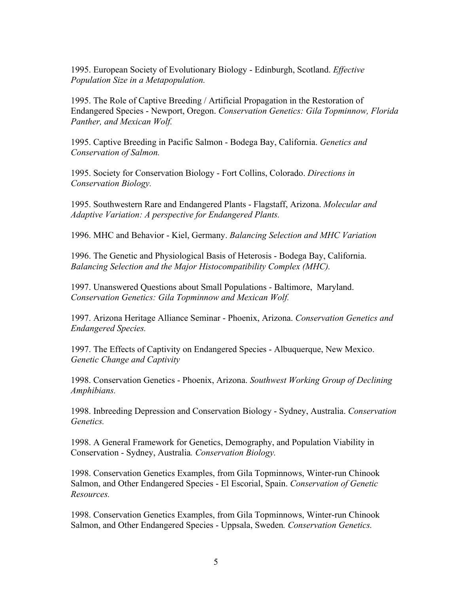1995. European Society of Evolutionary Biology - Edinburgh, Scotland. *Effective Population Size in a Metapopulation.*

1995. The Role of Captive Breeding / Artificial Propagation in the Restoration of Endangered Species - Newport, Oregon. *Conservation Genetics: Gila Topminnow, Florida Panther, and Mexican Wolf.*

1995. Captive Breeding in Pacific Salmon - Bodega Bay, California. *Genetics and Conservation of Salmon.*

1995. Society for Conservation Biology - Fort Collins, Colorado. *Directions in Conservation Biology.*

1995. Southwestern Rare and Endangered Plants - Flagstaff, Arizona. *Molecular and Adaptive Variation: A perspective for Endangered Plants.*

1996. MHC and Behavior - Kiel, Germany. *Balancing Selection and MHC Variation*

1996. The Genetic and Physiological Basis of Heterosis - Bodega Bay, California. *Balancing Selection and the Major Histocompatibility Complex (MHC).*

1997. Unanswered Questions about Small Populations - Baltimore, Maryland. *Conservation Genetics: Gila Topminnow and Mexican Wolf.*

1997. Arizona Heritage Alliance Seminar - Phoenix, Arizona. *Conservation Genetics and Endangered Species.*

1997. The Effects of Captivity on Endangered Species - Albuquerque, New Mexico. *Genetic Change and Captivity*

1998. Conservation Genetics - Phoenix, Arizona. *Southwest Working Group of Declining Amphibians.*

1998. Inbreeding Depression and Conservation Biology - Sydney, Australia. *Conservation Genetics.*

1998. A General Framework for Genetics, Demography, and Population Viability in Conservation - Sydney, Australia*. Conservation Biology.*

1998. Conservation Genetics Examples, from Gila Topminnows, Winter-run Chinook Salmon, and Other Endangered Species - El Escorial, Spain. *Conservation of Genetic Resources.*

1998. Conservation Genetics Examples, from Gila Topminnows, Winter-run Chinook Salmon, and Other Endangered Species - Uppsala, Sweden*. Conservation Genetics.*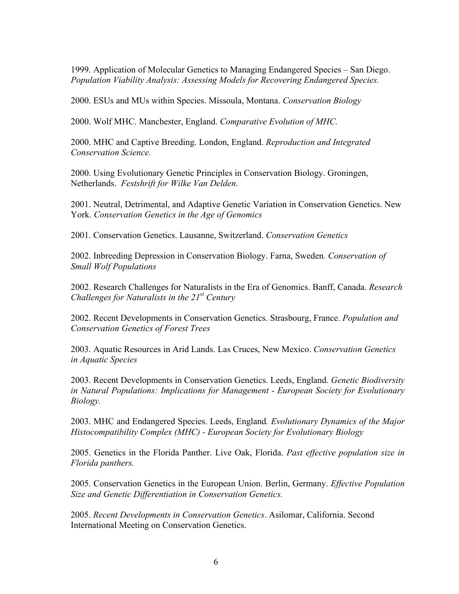1999. Application of Molecular Genetics to Managing Endangered Species – San Diego. *Population Viability Analysis: Assessing Models for Recovering Endangered Species.* 

2000. ESUs and MUs within Species. Missoula, Montana. *Conservation Biology*

2000. Wolf MHC. Manchester, England. *Comparative Evolution of MHC.* 

2000. MHC and Captive Breeding. London, England. *Reproduction and Integrated Conservation Science.* 

2000. Using Evolutionary Genetic Principles in Conservation Biology. Groningen, Netherlands. *Festshrift for Wilke Van Delden*.

2001. Neutral, Detrimental, and Adaptive Genetic Variation in Conservation Genetics. New York. *Conservation Genetics in the Age of Genomics*

2001. Conservation Genetics. Lausanne, Switzerland. *Conservation Genetics*

2002. Inbreeding Depression in Conservation Biology. Farna, Sweden*. Conservation of Small Wolf Populations*

2002. Research Challenges for Naturalists in the Era of Genomics. Banff, Canada. *Research Challenges for Naturalists in the 21st Century*

2002. Recent Developments in Conservation Genetics. Strasbourg, France. *Population and Conservation Genetics of Forest Trees*

2003. Aquatic Resources in Arid Lands. Las Cruces, New Mexico. *Conservation Genetics in Aquatic Species*

2003. Recent Developments in Conservation Genetics. Leeds, England*. Genetic Biodiversity in Natural Populations: Implications for Management - European Society for Evolutionary Biology.*

2003. MHC and Endangered Species. Leeds, England*. Evolutionary Dynamics of the Major Histocompatibility Complex (MHC) - European Society for Evolutionary Biology*

2005. Genetics in the Florida Panther. Live Oak, Florida. *Past effective population size in Florida panthers.* 

2005. Conservation Genetics in the European Union. Berlin, Germany. *Effective Population Size and Genetic Differentiation in Conservation Genetics.*

2005. *Recent Developments in Conservation Genetics*. Asilomar, California. Second International Meeting on Conservation Genetics.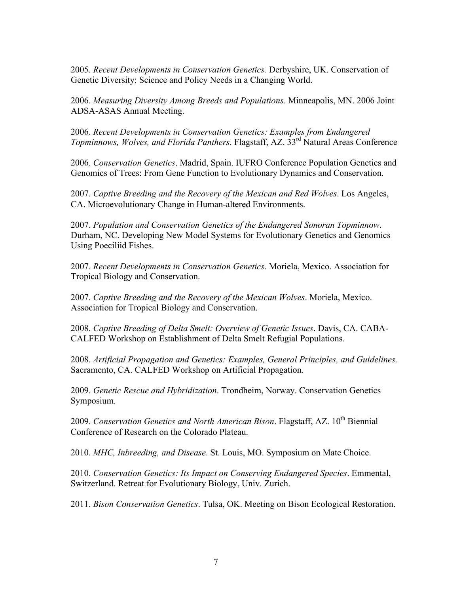2005. *Recent Developments in Conservation Genetics.* Derbyshire, UK. Conservation of Genetic Diversity: Science and Policy Needs in a Changing World.

2006. *Measuring Diversity Among Breeds and Populations*. Minneapolis, MN. 2006 Joint ADSA-ASAS Annual Meeting.

2006. *Recent Developments in Conservation Genetics: Examples from Endangered Topminnows, Wolves, and Florida Panthers.* Flagstaff, AZ. 33<sup>rd</sup> Natural Areas Conference

2006. *Conservation Genetics*. Madrid, Spain. IUFRO Conference Population Genetics and Genomics of Trees: From Gene Function to Evolutionary Dynamics and Conservation.

2007. *Captive Breeding and the Recovery of the Mexican and Red Wolves*. Los Angeles, CA. Microevolutionary Change in Human-altered Environments.

2007. *Population and Conservation Genetics of the Endangered Sonoran Topminnow*. Durham, NC. Developing New Model Systems for Evolutionary Genetics and Genomics Using Poeciliid Fishes.

2007. *Recent Developments in Conservation Genetics*. Moriela, Mexico. Association for Tropical Biology and Conservation.

2007. *Captive Breeding and the Recovery of the Mexican Wolves*. Moriela, Mexico. Association for Tropical Biology and Conservation.

2008. *Captive Breeding of Delta Smelt: Overview of Genetic Issues*. Davis, CA. CABA-CALFED Workshop on Establishment of Delta Smelt Refugial Populations.

2008. *Artificial Propagation and Genetics: Examples, General Principles, and Guidelines.* Sacramento, CA. CALFED Workshop on Artificial Propagation.

2009. *Genetic Rescue and Hybridization*. Trondheim, Norway. Conservation Genetics Symposium.

2009. *Conservation Genetics and North American Bison*. Flagstaff, AZ. 10<sup>th</sup> Biennial Conference of Research on the Colorado Plateau.

2010. *MHC, Inbreeding, and Disease*. St. Louis, MO. Symposium on Mate Choice.

2010. *Conservation Genetics: Its Impact on Conserving Endangered Species*. Emmental, Switzerland. Retreat for Evolutionary Biology, Univ. Zurich.

2011. *Bison Conservation Genetics*. Tulsa, OK. Meeting on Bison Ecological Restoration.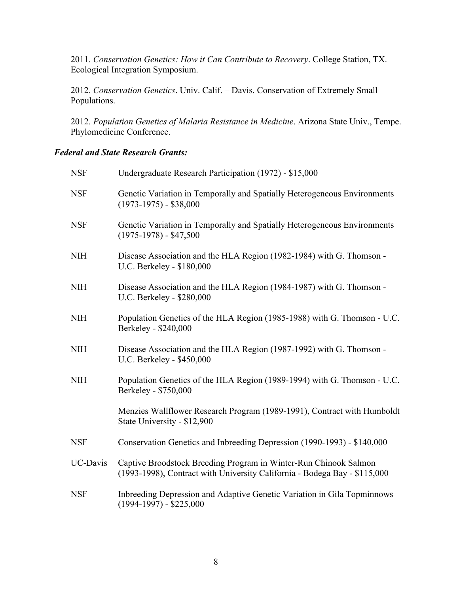2011. *Conservation Genetics: How it Can Contribute to Recovery*. College Station, TX. Ecological Integration Symposium.

2012. *Conservation Genetics*. Univ. Calif. – Davis. Conservation of Extremely Small Populations.

2012. *Population Genetics of Malaria Resistance in Medicine*. Arizona State Univ., Tempe. Phylomedicine Conference.

### *Federal and State Research Grants:*

| <b>NSF</b> | Undergraduate Research Participation (1972) - \$15,000                                                                                        |
|------------|-----------------------------------------------------------------------------------------------------------------------------------------------|
| <b>NSF</b> | Genetic Variation in Temporally and Spatially Heterogeneous Environments<br>$(1973-1975) - $38,000$                                           |
| <b>NSF</b> | Genetic Variation in Temporally and Spatially Heterogeneous Environments<br>$(1975-1978) - $47,500$                                           |
| <b>NIH</b> | Disease Association and the HLA Region (1982-1984) with G. Thomson -<br>U.C. Berkeley - \$180,000                                             |
| <b>NIH</b> | Disease Association and the HLA Region (1984-1987) with G. Thomson -<br>U.C. Berkeley - \$280,000                                             |
| <b>NIH</b> | Population Genetics of the HLA Region (1985-1988) with G. Thomson - U.C.<br>Berkeley - \$240,000                                              |
| <b>NIH</b> | Disease Association and the HLA Region (1987-1992) with G. Thomson -<br>U.C. Berkeley - \$450,000                                             |
| <b>NIH</b> | Population Genetics of the HLA Region (1989-1994) with G. Thomson - U.C.<br>Berkeley - \$750,000                                              |
|            | Menzies Wallflower Research Program (1989-1991), Contract with Humboldt<br>State University - \$12,900                                        |
| <b>NSF</b> | Conservation Genetics and Inbreeding Depression (1990-1993) - \$140,000                                                                       |
| UC-Davis   | Captive Broodstock Breeding Program in Winter-Run Chinook Salmon<br>(1993-1998), Contract with University California - Bodega Bay - \$115,000 |
| <b>NSF</b> | Inbreeding Depression and Adaptive Genetic Variation in Gila Topminnows<br>$(1994-1997) - $225,000$                                           |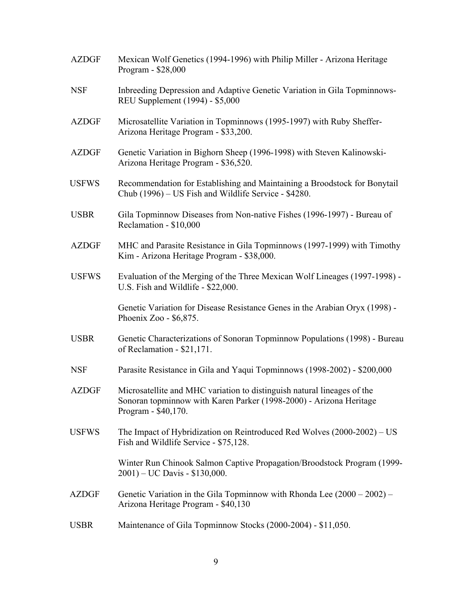| <b>AZDGF</b> | Mexican Wolf Genetics (1994-1996) with Philip Miller - Arizona Heritage<br>Program - \$28,000                                                                        |
|--------------|----------------------------------------------------------------------------------------------------------------------------------------------------------------------|
| <b>NSF</b>   | Inbreeding Depression and Adaptive Genetic Variation in Gila Topminnows-<br>REU Supplement (1994) - \$5,000                                                          |
| <b>AZDGF</b> | Microsatellite Variation in Topminnows (1995-1997) with Ruby Sheffer-<br>Arizona Heritage Program - \$33,200.                                                        |
| <b>AZDGF</b> | Genetic Variation in Bighorn Sheep (1996-1998) with Steven Kalinowski-<br>Arizona Heritage Program - \$36,520.                                                       |
| <b>USFWS</b> | Recommendation for Establishing and Maintaining a Broodstock for Bonytail<br>Chub (1996) – US Fish and Wildlife Service - \$4280.                                    |
| <b>USBR</b>  | Gila Topminnow Diseases from Non-native Fishes (1996-1997) - Bureau of<br>Reclamation - \$10,000                                                                     |
| <b>AZDGF</b> | MHC and Parasite Resistance in Gila Topminnows (1997-1999) with Timothy<br>Kim - Arizona Heritage Program - \$38,000.                                                |
| <b>USFWS</b> | Evaluation of the Merging of the Three Mexican Wolf Lineages (1997-1998) -<br>U.S. Fish and Wildlife - \$22,000.                                                     |
|              | Genetic Variation for Disease Resistance Genes in the Arabian Oryx (1998) -<br>Phoenix Zoo - \$6,875.                                                                |
| <b>USBR</b>  | Genetic Characterizations of Sonoran Topminnow Populations (1998) - Bureau<br>of Reclamation - \$21,171.                                                             |
| <b>NSF</b>   | Parasite Resistance in Gila and Yaqui Topminnows (1998-2002) - \$200,000                                                                                             |
| <b>AZDGF</b> | Microsatellite and MHC variation to distinguish natural lineages of the<br>Sonoran topminnow with Karen Parker (1998-2000) - Arizona Heritage<br>Program - \$40,170. |
| <b>USFWS</b> | The Impact of Hybridization on Reintroduced Red Wolves (2000-2002) – US<br>Fish and Wildlife Service - \$75,128.                                                     |
|              | Winter Run Chinook Salmon Captive Propagation/Broodstock Program (1999-<br>$2001$ ) – UC Davis - \$130,000.                                                          |
| <b>AZDGF</b> | Genetic Variation in the Gila Topminnow with Rhonda Lee $(2000 - 2002)$ –<br>Arizona Heritage Program - \$40,130                                                     |
| <b>USBR</b>  | Maintenance of Gila Topminnow Stocks (2000-2004) - \$11,050.                                                                                                         |
|              |                                                                                                                                                                      |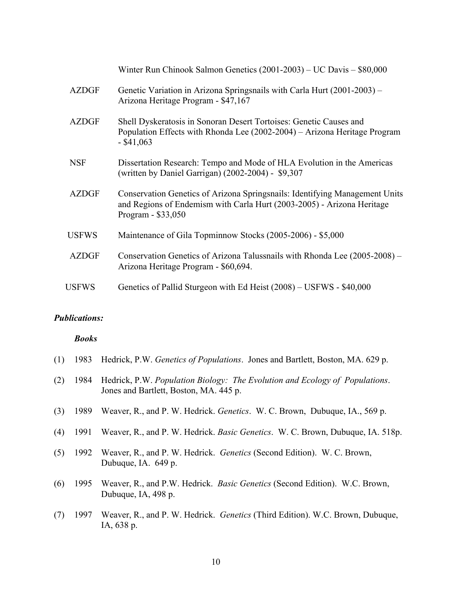|              | Winter Run Chinook Salmon Genetics (2001-2003) – UC Davis – \$80,000                                                                                                        |
|--------------|-----------------------------------------------------------------------------------------------------------------------------------------------------------------------------|
| <b>AZDGF</b> | Genetic Variation in Arizona Springsnails with Carla Hurt (2001-2003) –<br>Arizona Heritage Program - \$47,167                                                              |
| <b>AZDGF</b> | Shell Dyskeratosis in Sonoran Desert Tortoises: Genetic Causes and<br>Population Effects with Rhonda Lee (2002-2004) – Arizona Heritage Program<br>$-$ \$41,063             |
| <b>NSF</b>   | Dissertation Research: Tempo and Mode of HLA Evolution in the Americas<br>(written by Daniel Garrigan) (2002-2004) - \$9,307                                                |
| <b>AZDGF</b> | Conservation Genetics of Arizona Springsnails: Identifying Management Units<br>and Regions of Endemism with Carla Hurt (2003-2005) - Arizona Heritage<br>Program - \$33,050 |
| <b>USFWS</b> | Maintenance of Gila Topminnow Stocks (2005-2006) - \$5,000                                                                                                                  |
| <b>AZDGF</b> | Conservation Genetics of Arizona Talussnails with Rhonda Lee (2005-2008) –<br>Arizona Heritage Program - \$60,694.                                                          |
| <b>USFWS</b> | Genetics of Pallid Sturgeon with Ed Heist (2008) – USFWS - \$40,000                                                                                                         |

### *Publications:*

#### *Books*

|  |  | (1) 1983 Hedrick, P.W. Genetics of Populations. Jones and Bartlett, Boston, MA. 629 p. |  |
|--|--|----------------------------------------------------------------------------------------|--|
|  |  |                                                                                        |  |

- (2) 1984 Hedrick, P.W. *Population Biology: The Evolution and Ecology of Populations*. Jones and Bartlett, Boston, MA. 445 p.
- (3) 1989 Weaver, R., and P. W. Hedrick. *Genetics*. W. C. Brown, Dubuque, IA., 569 p.
- (4) 1991 Weaver, R., and P. W. Hedrick. *Basic Genetics*. W. C. Brown, Dubuque, IA. 518p.
- (5) 1992 Weaver, R., and P. W. Hedrick. *Genetics* (Second Edition). W. C. Brown, Dubuque, IA. 649 p.
- (6) 1995 Weaver, R., and P.W. Hedrick. *Basic Genetics* (Second Edition). W.C. Brown, Dubuque, IA, 498 p.
- (7) 1997 Weaver, R., and P. W. Hedrick. *Genetics* (Third Edition). W.C. Brown, Dubuque, IA, 638 p.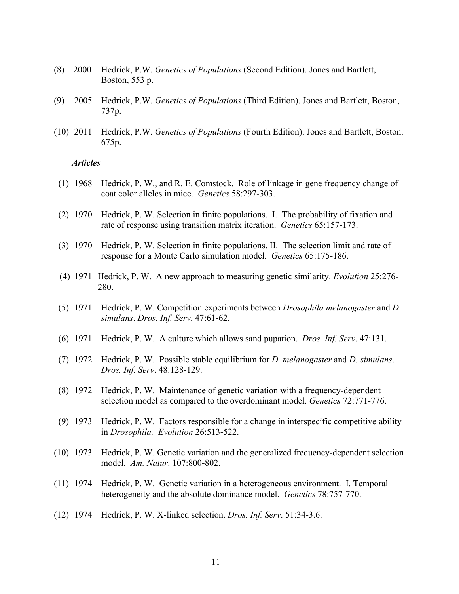- (8) 2000 Hedrick, P.W. *Genetics of Populations* (Second Edition). Jones and Bartlett, Boston, 553 p.
- (9) 2005 Hedrick, P.W. *Genetics of Populations* (Third Edition). Jones and Bartlett, Boston, 737p.
- (10) 2011 Hedrick, P.W. *Genetics of Populations* (Fourth Edition). Jones and Bartlett, Boston. 675p.

#### *Articles*

- (1) 1968 Hedrick, P. W., and R. E. Comstock. Role of linkage in gene frequency change of coat color alleles in mice. *Genetics* 58:297-303.
- (2) 1970 Hedrick, P. W. Selection in finite populations. I. The probability of fixation and rate of response using transition matrix iteration. *Genetics* 65:157-173.
- (3) 1970 Hedrick, P. W. Selection in finite populations. II. The selection limit and rate of response for a Monte Carlo simulation model. *Genetics* 65:175-186.
- (4) 1971 Hedrick, P. W. A new approach to measuring genetic similarity. *Evolution* 25:276- 280.
- (5) 1971 Hedrick, P. W. Competition experiments between *Drosophila melanogaster* and *D*. *simulans*. *Dros. Inf. Serv*. 47:61-62.
- (6) 1971 Hedrick, P. W. A culture which allows sand pupation. *Dros. Inf. Serv*. 47:131.
- (7) 1972 Hedrick, P. W. Possible stable equilibrium for *D. melanogaster* and *D. simulans*. *Dros. Inf. Serv*. 48:128-129.
- (8) 1972 Hedrick, P. W. Maintenance of genetic variation with a frequency-dependent selection model as compared to the overdominant model. *Genetics* 72:771-776.
- (9) 1973 Hedrick, P. W. Factors responsible for a change in interspecific competitive ability in *Drosophila. Evolution* 26:513-522.
- (10) 1973 Hedrick, P. W. Genetic variation and the generalized frequency-dependent selection model. *Am. Natur*. 107:800-802.
- (11) 1974 Hedrick, P. W. Genetic variation in a heterogeneous environment. I. Temporal heterogeneity and the absolute dominance model. *Genetics* 78:757-770.
- (12) 1974 Hedrick, P. W. X-linked selection. *Dros. Inf. Serv*. 51:34-3.6.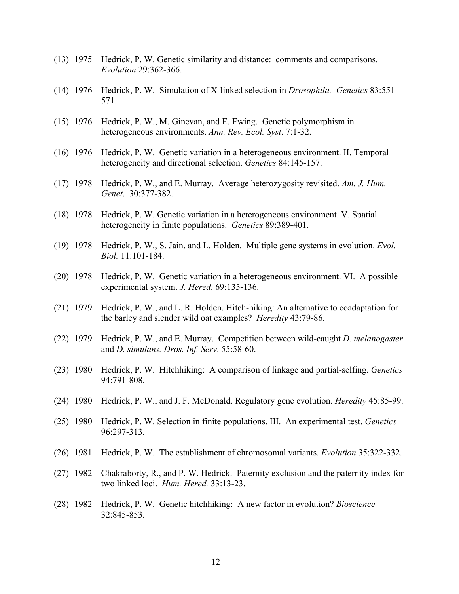- (13) 1975 Hedrick, P. W. Genetic similarity and distance: comments and comparisons. *Evolution* 29:362-366.
- (14) 1976 Hedrick, P. W. Simulation of X-linked selection in *Drosophila. Genetics* 83:551- 571.
- (15) 1976 Hedrick, P. W., M. Ginevan, and E. Ewing. Genetic polymorphism in heterogeneous environments. *Ann. Rev. Ecol. Syst*. 7:1-32.
- (16) 1976 Hedrick, P. W. Genetic variation in a heterogeneous environment. II. Temporal heterogeneity and directional selection. *Genetics* 84:145-157.
- (17) 1978 Hedrick, P. W., and E. Murray. Average heterozygosity revisited. *Am. J. Hum. Genet*. 30:377-382.
- (18) 1978 Hedrick, P. W. Genetic variation in a heterogeneous environment. V. Spatial heterogeneity in finite populations. *Genetics* 89:389-401.
- (19) 1978 Hedrick, P. W., S. Jain, and L. Holden. Multiple gene systems in evolution. *Evol. Biol.* 11:101-184.
- (20) 1978 Hedrick, P. W. Genetic variation in a heterogeneous environment. VI. A possible experimental system. *J. Hered*. 69:135-136.
- (21) 1979 Hedrick, P. W., and L. R. Holden. Hitch-hiking: An alternative to coadaptation for the barley and slender wild oat examples? *Heredity* 43:79-86.
- (22) 1979 Hedrick, P. W., and E. Murray. Competition between wild-caught *D. melanogaster* and *D. simulans. Dros. Inf. Serv*. 55:58-60.
- (23) 1980 Hedrick, P. W. Hitchhiking: A comparison of linkage and partial-selfing. *Genetics* 94:791-808.
- (24) 1980 Hedrick, P. W., and J. F. McDonald. Regulatory gene evolution. *Heredity* 45:85-99.
- (25) 1980 Hedrick, P. W. Selection in finite populations. III. An experimental test. *Genetics* 96:297-313.
- (26) 1981 Hedrick, P. W. The establishment of chromosomal variants. *Evolution* 35:322-332.
- (27) 1982 Chakraborty, R., and P. W. Hedrick. Paternity exclusion and the paternity index for two linked loci. *Hum. Hered.* 33:13-23.
- (28) 1982 Hedrick, P. W. Genetic hitchhiking: A new factor in evolution? *Bioscience* 32:845-853.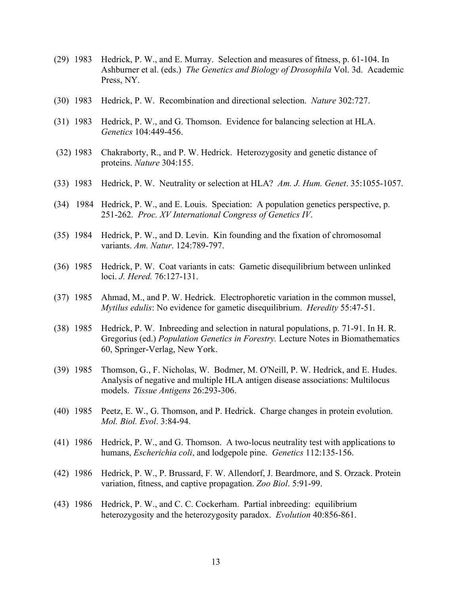- (29) 1983 Hedrick, P. W., and E. Murray. Selection and measures of fitness, p. 61-104. In Ashburner et al. (eds.) *The Genetics and Biology of Drosophila* Vol. 3d. Academic Press, NY.
- (30) 1983 Hedrick, P. W. Recombination and directional selection. *Nature* 302:727.
- (31) 1983 Hedrick, P. W., and G. Thomson. Evidence for balancing selection at HLA. *Genetics* 104:449-456.
- (32) 1983 Chakraborty, R., and P. W. Hedrick. Heterozygosity and genetic distance of proteins. *Nature* 304:155.
- (33) 1983 Hedrick, P. W. Neutrality or selection at HLA? *Am. J. Hum. Genet*. 35:1055-1057.
- (34) 1984 Hedrick, P. W., and E. Louis. Speciation: A population genetics perspective, p. 251-262. *Proc. XV International Congress of Genetics IV*.
- (35) 1984 Hedrick, P. W., and D. Levin. Kin founding and the fixation of chromosomal variants. *Am. Natur*. 124:789-797.
- (36) 1985 Hedrick, P. W. Coat variants in cats: Gametic disequilibrium between unlinked loci. *J. Hered.* 76:127-131.
- (37) 1985 Ahmad, M., and P. W. Hedrick. Electrophoretic variation in the common mussel, *Mytilus edulis*: No evidence for gametic disequilibrium. *Heredity* 55:47-51.
- (38) 1985 Hedrick, P. W. Inbreeding and selection in natural populations, p. 71-91. In H. R. Gregorius (ed.) *Population Genetics in Forestry.* Lecture Notes in Biomathematics 60, Springer-Verlag, New York.
- (39) 1985 Thomson, G., F. Nicholas, W. Bodmer, M. O'Neill, P. W. Hedrick, and E. Hudes. Analysis of negative and multiple HLA antigen disease associations: Multilocus models. *Tissue Antigens* 26:293-306.
- (40) 1985 Peetz, E. W., G. Thomson, and P. Hedrick. Charge changes in protein evolution. *Mol. Biol. Evol*. 3:84-94.
- (41) 1986 Hedrick, P. W., and G. Thomson. A two-locus neutrality test with applications to humans, *Escherichia coli*, and lodgepole pine. *Genetics* 112:135-156.
- (42) 1986 Hedrick, P. W., P. Brussard, F. W. Allendorf, J. Beardmore, and S. Orzack. Protein variation, fitness, and captive propagation. *Zoo Biol*. 5:91-99.
- (43) 1986 Hedrick, P. W., and C. C. Cockerham. Partial inbreeding: equilibrium heterozygosity and the heterozygosity paradox. *Evolution* 40:856-861.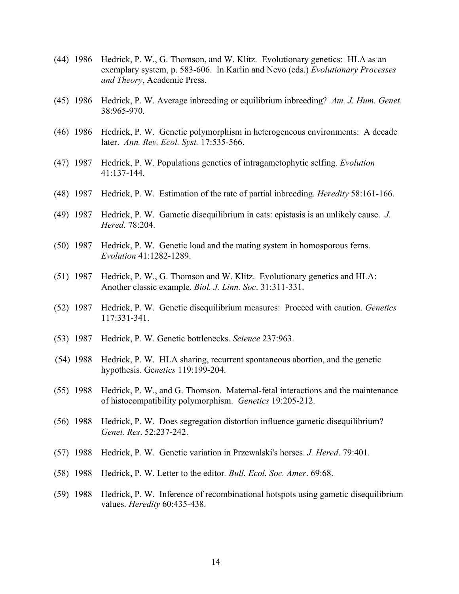- (44) 1986 Hedrick, P. W., G. Thomson, and W. Klitz. Evolutionary genetics: HLA as an exemplary system, p. 583-606. In Karlin and Nevo (eds.) *Evolutionary Processes and Theory*, Academic Press.
- (45) 1986 Hedrick, P. W. Average inbreeding or equilibrium inbreeding? *Am. J. Hum. Genet*. 38:965-970.
- (46) 1986 Hedrick, P. W. Genetic polymorphism in heterogeneous environments: A decade later. *Ann. Rev. Ecol. Syst.* 17:535-566.
- (47) 1987 Hedrick, P. W. Populations genetics of intragametophytic selfing. *Evolution* 41:137-144.
- (48) 1987 Hedrick, P. W. Estimation of the rate of partial inbreeding. *Heredity* 58:161-166.
- (49) 1987 Hedrick, P. W. Gametic disequilibrium in cats: epistasis is an unlikely cause. *J. Hered*. 78:204.
- (50) 1987 Hedrick, P. W. Genetic load and the mating system in homosporous ferns. *Evolution* 41:1282-1289.
- (51) 1987 Hedrick, P. W., G. Thomson and W. Klitz. Evolutionary genetics and HLA: Another classic example. *Biol. J. Linn. Soc*. 31:311-331.
- (52) 1987 Hedrick, P. W. Genetic disequilibrium measures: Proceed with caution. *Genetics* 117:331-341.
- (53) 1987 Hedrick, P. W. Genetic bottlenecks. *Science* 237:963.
- (54) 1988 Hedrick, P. W. HLA sharing, recurrent spontaneous abortion, and the genetic hypothesis. Ge*netics* 119:199-204.
- (55) 1988 Hedrick, P. W., and G. Thomson. Maternal-fetal interactions and the maintenance of histocompatibility polymorphism. *Genetics* 19:205-212.
- (56) 1988 Hedrick, P. W. Does segregation distortion influence gametic disequilibrium? *Genet. Res*. 52:237-242.
- (57) 1988 Hedrick, P. W. Genetic variation in Przewalski's horses. *J. Hered*. 79:401.
- (58) 1988 Hedrick, P. W. Letter to the editor*. Bull. Ecol. Soc. Amer*. 69:68.
- (59) 1988 Hedrick, P. W. Inference of recombinational hotspots using gametic disequilibrium values. *Heredity* 60:435-438.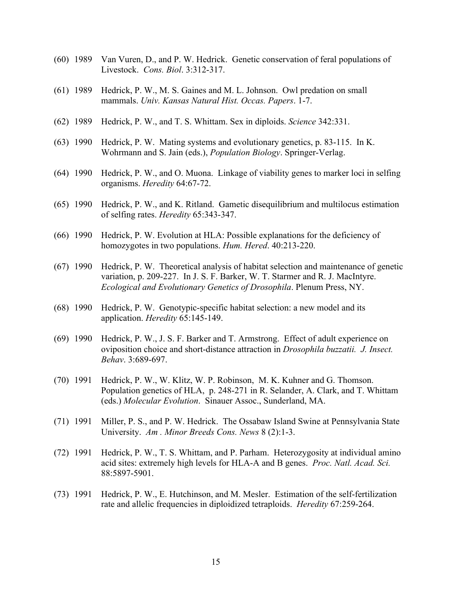- (60) 1989 Van Vuren, D., and P. W. Hedrick. Genetic conservation of feral populations of Livestock. *Cons. Biol*. 3:312-317.
- (61) 1989 Hedrick, P. W., M. S. Gaines and M. L. Johnson. Owl predation on small mammals. *Univ. Kansas Natural Hist. Occas. Papers*. 1-7.
- (62) 1989 Hedrick, P. W., and T. S. Whittam. Sex in diploids. *Science* 342:331.
- (63) 1990 Hedrick, P. W. Mating systems and evolutionary genetics, p. 83-115. In K. Wohrmann and S. Jain (eds.), *Population Biology*. Springer-Verlag.
- (64) 1990 Hedrick, P. W., and O. Muona. Linkage of viability genes to marker loci in selfing organisms. *Heredity* 64:67-72.
- (65) 1990 Hedrick, P. W., and K. Ritland. Gametic disequilibrium and multilocus estimation of selfing rates. *Heredity* 65:343-347.
- (66) 1990 Hedrick, P. W. Evolution at HLA: Possible explanations for the deficiency of homozygotes in two populations. *Hum. Hered*. 40:213-220.
- (67) 1990 Hedrick, P. W. Theoretical analysis of habitat selection and maintenance of genetic variation, p. 209-227. In J. S. F. Barker, W. T. Starmer and R. J. MacIntyre. *Ecological and Evolutionary Genetics of Drosophila*. Plenum Press, NY.
- (68) 1990 Hedrick, P. W. Genotypic-specific habitat selection: a new model and its application. *Heredity* 65:145-149.
- (69) 1990 Hedrick, P. W., J. S. F. Barker and T. Armstrong. Effect of adult experience on oviposition choice and short-distance attraction in *Drosophila buzzatii. J. Insect. Behav*. 3:689-697.
- (70) 1991 Hedrick, P. W., W. Klitz, W. P. Robinson, M. K. Kuhner and G. Thomson. Population genetics of HLA, p. 248-271 in R. Selander, A. Clark, and T. Whittam (eds.) *Molecular Evolution*. Sinauer Assoc., Sunderland, MA.
- (71) 1991 Miller, P. S., and P. W. Hedrick. The Ossabaw Island Swine at Pennsylvania State University. *Am . Minor Breeds Cons. News* 8 (2):1-3.
- (72) 1991 Hedrick, P. W., T. S. Whittam, and P. Parham. Heterozygosity at individual amino acid sites: extremely high levels for HLA-A and B genes. *Proc. Natl. Acad. Sci.* 88:5897-5901.
- (73) 1991 Hedrick, P. W., E. Hutchinson, and M. Mesler. Estimation of the self-fertilization rate and allelic frequencies in diploidized tetraploids. *Heredity* 67:259-264.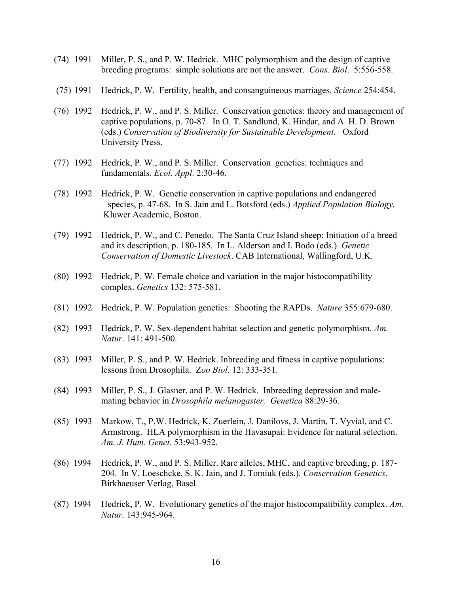- (74) 1991 Miller, P. S., and P. W. Hedrick. MHC polymorphism and the design of captive breeding programs: simple solutions are not the answer. *Cons. Biol*. 5:556-558.
- (75) 1991 Hedrick, P. W. Fertility, health, and consanguineous marriages. *Science* 254:454.
- (76) 1992 Hedrick, P. W., and P. S. Miller. Conservation genetics: theory and management of captive populations, p. 70-87. In O. T. Sandlund, K. Hindar, and A. H. D. Brown (eds.) *Conservation of Biodiversity for Sustainable Development*. Oxford University Press.
- (77) 1992 Hedrick, P. W., and P. S. Miller. Conservation genetics: techniques and fundamentals. *Ecol. Appl*. 2:30-46.
- (78) 1992 Hedrick, P. W. Genetic conservation in captive populations and endangered species, p. 47-68. In S. Jain and L. Botsford (eds.) *Applied Population Biology.* Kluwer Academic, Boston.
- (79) 1992 Hedrick, P. W., and C. Penedo. The Santa Cruz Island sheep: Initiation of a breed and its description, p. 180-185. In L. Alderson and I. Bodo (eds.) *Genetic Conservation of Domestic Livestock*. CAB International, Wallingford, U.K.
- (80) 1992 Hedrick, P. W. Female choice and variation in the major histocompatibility complex. *Genetics* 132: 575-581.
- (81) 1992 Hedrick, P. W. Population genetics: Shooting the RAPDs. *Nature* 355:679-680.
- (82) 1993 Hedrick, P. W. Sex-dependent habitat selection and genetic polymorphism. *Am. Natur*. 141: 491-500.
- (83) 1993 Miller, P. S., and P. W. Hedrick. Inbreeding and fitness in captive populations: lessons from Drosophila. Z*oo Biol*. 12: 333-351.
- (84) 1993 Miller, P. S., J. Glasner, and P. W. Hedrick. Inbreeding depression and malemating behavior in *Drosophila melanogaster. Genetica* 88:29-36.
- (85) 1993 Markow, T., P.W. Hedrick, K. Zuerlein, J. Danilovs, J. Martin, T. Vyvial, and C. Armstrong. HLA polymorphism in the Havasupai: Evidence for natural selection. *Am. J. Hum. Genet.* 53:943-952.
- (86) 1994 Hedrick, P. W., and P. S. Miller. Rare alleles, MHC, and captive breeding, p. 187- 204. In V. Loeschcke, S. K. Jain, and J. Tomiuk (eds.). *Conservation Genetics*. Birkhaeuser Verlag, Basel.
- (87) 1994 Hedrick, P. W. Evolutionary genetics of the major histocompatibility complex. *Am. Natur.* 143:945-964.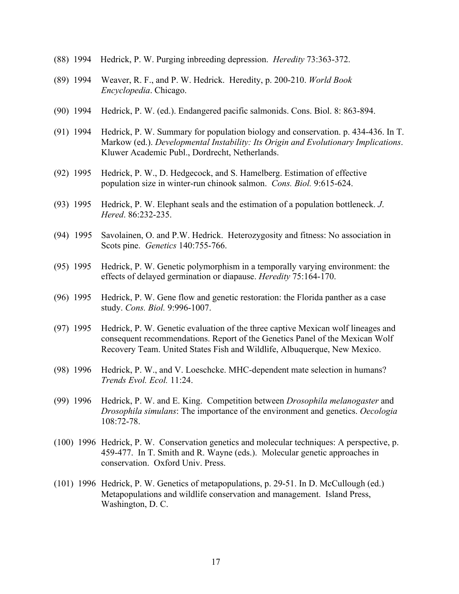- (88) 1994 Hedrick, P. W. Purging inbreeding depression. *Heredity* 73:363-372.
- (89) 1994 Weaver, R. F., and P. W. Hedrick. Heredity, p. 200-210. *World Book Encyclopedia*. Chicago.
- (90) 1994 Hedrick, P. W. (ed.). Endangered pacific salmonids. Cons. Biol. 8: 863-894.
- (91) 1994 Hedrick, P. W. Summary for population biology and conservation. p. 434-436. In T. Markow (ed.). *Developmental Instability: Its Origin and Evolutionary Implications*. Kluwer Academic Publ., Dordrecht, Netherlands.
- (92) 1995 Hedrick, P. W., D. Hedgecock, and S. Hamelberg. Estimation of effective population size in winter-run chinook salmon. *Cons. Biol.* 9:615-624.
- (93) 1995 Hedrick, P. W. Elephant seals and the estimation of a population bottleneck. *J*. *Hered*. 86:232-235.
- (94) 1995 Savolainen, O. and P.W. Hedrick. Heterozygosity and fitness: No association in Scots pine. *Genetics* 140:755-766.
- (95) 1995 Hedrick, P. W. Genetic polymorphism in a temporally varying environment: the effects of delayed germination or diapause. *Heredity* 75:164-170.
- (96) 1995 Hedrick, P. W. Gene flow and genetic restoration: the Florida panther as a case study. *Cons. Biol.* 9:996-1007.
- (97) 1995 Hedrick, P. W. Genetic evaluation of the three captive Mexican wolf lineages and consequent recommendations. Report of the Genetics Panel of the Mexican Wolf Recovery Team. United States Fish and Wildlife, Albuquerque, New Mexico.
- (98) 1996 Hedrick, P. W., and V. Loeschcke. MHC-dependent mate selection in humans? *Trends Evol. Ecol.* 11:24.
- (99) 1996 Hedrick, P. W. and E. King. Competition between *Drosophila melanogaster* and *Drosophila simulans*: The importance of the environment and genetics. *Oecologia* 108:72-78.
- (100) 1996 Hedrick, P. W. Conservation genetics and molecular techniques: A perspective, p. 459-477. In T. Smith and R. Wayne (eds.). Molecular genetic approaches in conservation. Oxford Univ. Press.
- (101) 1996 Hedrick, P. W. Genetics of metapopulations, p. 29-51. In D. McCullough (ed.) Metapopulations and wildlife conservation and management. Island Press, Washington, D. C.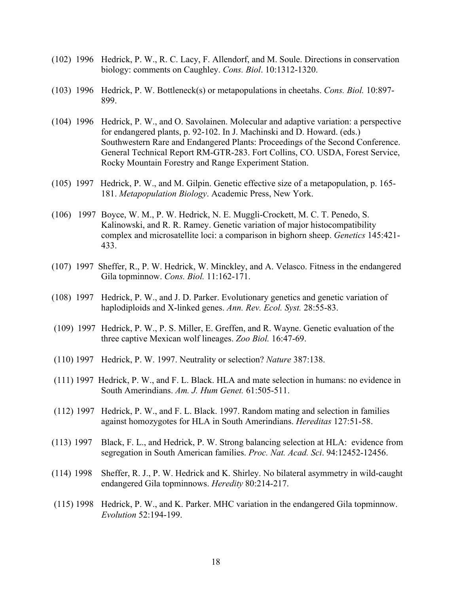- (102) 1996 Hedrick, P. W., R. C. Lacy, F. Allendorf, and M. Soule. Directions in conservation biology: comments on Caughley. *Cons. Biol*. 10:1312-1320.
- (103) 1996 Hedrick, P. W. Bottleneck(s) or metapopulations in cheetahs. *Cons. Biol.* 10:897- 899.
- (104) 1996 Hedrick, P. W., and O. Savolainen. Molecular and adaptive variation: a perspective for endangered plants, p. 92-102. In J. Machinski and D. Howard. (eds.) Southwestern Rare and Endangered Plants: Proceedings of the Second Conference. General Technical Report RM-GTR-283. Fort Collins, CO. USDA, Forest Service, Rocky Mountain Forestry and Range Experiment Station.
- (105) 1997 Hedrick, P. W., and M. Gilpin. Genetic effective size of a metapopulation, p. 165- 181. *Metapopulation Biology*. Academic Press, New York.
- (106) 1997 Boyce, W. M., P. W. Hedrick, N. E. Muggli-Crockett, M. C. T. Penedo, S. Kalinowski, and R. R. Ramey. Genetic variation of major histocompatibility complex and microsatellite loci: a comparison in bighorn sheep. *Genetics* 145:421- 433.
- (107) 1997 Sheffer, R., P. W. Hedrick, W. Minckley, and A. Velasco. Fitness in the endangered Gila topminnow. *Cons. Biol.* 11:162-171.
- (108) 1997 Hedrick, P. W., and J. D. Parker. Evolutionary genetics and genetic variation of haplodiploids and X-linked genes. *Ann. Rev. Ecol. Syst.* 28:55-83.
- (109) 1997 Hedrick, P. W., P. S. Miller, E. Greffen, and R. Wayne. Genetic evaluation of the three captive Mexican wolf lineages. *Zoo Biol.* 16:47-69.
- (110) 1997 Hedrick, P. W. 1997. Neutrality or selection? *Nature* 387:138.
- (111) 1997 Hedrick, P. W., and F. L. Black. HLA and mate selection in humans: no evidence in South Amerindians. *Am. J. Hum Genet.* 61:505-511.
- (112) 1997 Hedrick, P. W., and F. L. Black. 1997. Random mating and selection in families against homozygotes for HLA in South Amerindians. *Hereditas* 127:51-58.
- (113) 1997 Black, F. L., and Hedrick, P. W. Strong balancing selection at HLA: evidence from segregation in South American families. *Proc. Nat. Acad. Sci*. 94:12452-12456.
- (114) 1998 Sheffer, R. J., P. W. Hedrick and K. Shirley. No bilateral asymmetry in wild-caught endangered Gila topminnows. *Heredity* 80:214-217.
- (115) 1998 Hedrick, P. W., and K. Parker. MHC variation in the endangered Gila topminnow. *Evolution* 52:194-199.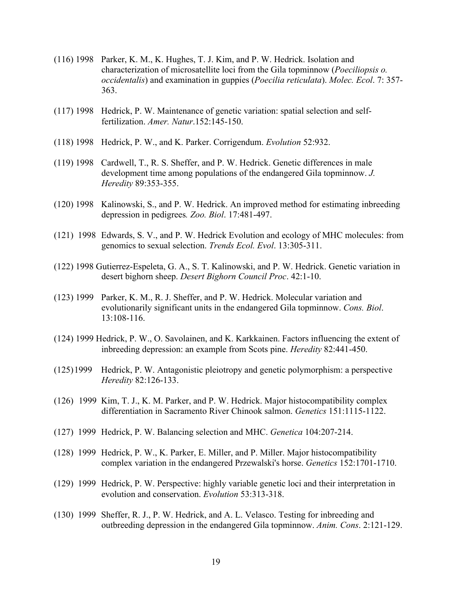- (116) 1998 Parker, K. M., K. Hughes, T. J. Kim, and P. W. Hedrick. Isolation and characterization of microsatellite loci from the Gila topminnow (*Poeciliopsis o. occidentalis*) and examination in guppies (*Poecilia reticulata*). *Molec. Ecol*. 7: 357- 363.
- (117) 1998 Hedrick, P. W. Maintenance of genetic variation: spatial selection and selffertilization. *Amer. Natur*.152:145-150.
- (118) 1998 Hedrick, P. W., and K. Parker. Corrigendum. *Evolution* 52:932.
- (119) 1998 Cardwell, T., R. S. Sheffer, and P. W. Hedrick. Genetic differences in male development time among populations of the endangered Gila topminnow. *J. Heredity* 89:353-355.
- (120) 1998 Kalinowski, S., and P. W. Hedrick. An improved method for estimating inbreeding depression in pedigrees*. Zoo. Biol*. 17:481-497.
- (121) 1998 Edwards, S. V., and P. W. Hedrick Evolution and ecology of MHC molecules: from genomics to sexual selection. *Trends Ecol. Evol*. 13:305-311.
- (122) 1998 Gutierrez-Espeleta, G. A., S. T. Kalinowski, and P. W. Hedrick. Genetic variation in desert bighorn sheep. *Desert Bighorn Council Proc*. 42:1-10.
- (123) 1999 Parker, K. M., R. J. Sheffer, and P. W. Hedrick. Molecular variation and evolutionarily significant units in the endangered Gila topminnow. *Cons. Biol*. 13:108-116.
- (124) 1999 Hedrick, P. W., O. Savolainen, and K. Karkkainen. Factors influencing the extent of inbreeding depression: an example from Scots pine. *Heredity* 82:441-450.
- (125)1999 Hedrick, P. W. Antagonistic pleiotropy and genetic polymorphism: a perspective *Heredity* 82:126-133.
- (126) 1999 Kim, T. J., K. M. Parker, and P. W. Hedrick. Major histocompatibility complex differentiation in Sacramento River Chinook salmon. *Genetics* 151:1115-1122.
- (127) 1999 Hedrick, P. W. Balancing selection and MHC. *Genetica* 104:207-214.
- (128) 1999 Hedrick, P. W., K. Parker, E. Miller, and P. Miller. Major histocompatibility complex variation in the endangered Przewalski's horse. *Genetics* 152:1701-1710.
- (129) 1999 Hedrick, P. W. Perspective: highly variable genetic loci and their interpretation in evolution and conservation. *Evolution* 53:313-318.
- (130) 1999 Sheffer, R. J., P. W. Hedrick, and A. L. Velasco. Testing for inbreeding and outbreeding depression in the endangered Gila topminnow. *Anim. Cons*. 2:121-129.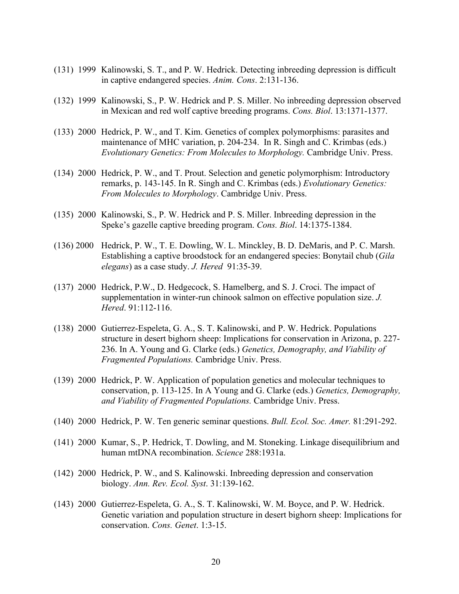- (131) 1999 Kalinowski, S. T., and P. W. Hedrick. Detecting inbreeding depression is difficult in captive endangered species. *Anim. Cons*. 2:131-136.
- (132) 1999 Kalinowski, S., P. W. Hedrick and P. S. Miller. No inbreeding depression observed in Mexican and red wolf captive breeding programs. *Cons. Biol*. 13:1371-1377.
- (133) 2000 Hedrick, P. W., and T. Kim. Genetics of complex polymorphisms: parasites and maintenance of MHC variation, p. 204-234. In R. Singh and C. Krimbas (eds.) *Evolutionary Genetics: From Molecules to Morphology.* Cambridge Univ. Press.
- (134) 2000 Hedrick, P. W., and T. Prout. Selection and genetic polymorphism: Introductory remarks, p. 143-145. In R. Singh and C. Krimbas (eds.) *Evolutionary Genetics: From Molecules to Morphology*. Cambridge Univ. Press.
- (135) 2000 Kalinowski, S., P. W. Hedrick and P. S. Miller. Inbreeding depression in the Speke's gazelle captive breeding program. *Cons. Biol*. 14:1375-1384.
- (136) 2000 Hedrick, P. W., T. E. Dowling, W. L. Minckley, B. D. DeMaris, and P. C. Marsh. Establishing a captive broodstock for an endangered species: Bonytail chub (*Gila elegans*) as a case study. *J. Hered* 91:35-39.
- (137) 2000 Hedrick, P.W., D. Hedgecock, S. Hamelberg, and S. J. Croci. The impact of supplementation in winter-run chinook salmon on effective population size. *J. Hered*. 91:112-116.
- (138) 2000 Gutierrez-Espeleta, G. A., S. T. Kalinowski, and P. W. Hedrick. Populations structure in desert bighorn sheep: Implications for conservation in Arizona, p. 227- 236. In A. Young and G. Clarke (eds.) *Genetics, Demography, and Viability of Fragmented Populations.* Cambridge Univ. Press.
- (139) 2000 Hedrick, P. W. Application of population genetics and molecular techniques to conservation, p. 113-125. In A Young and G. Clarke (eds.) *Genetics, Demography, and Viability of Fragmented Populations.* Cambridge Univ. Press.
- (140) 2000 Hedrick, P. W. Ten generic seminar questions. *Bull. Ecol. Soc. Amer.* 81:291-292.
- (141) 2000 Kumar, S., P. Hedrick, T. Dowling, and M. Stoneking. Linkage disequilibrium and human mtDNA recombination. *Science* 288:1931a.
- (142) 2000 Hedrick, P. W., and S. Kalinowski. Inbreeding depression and conservation biology. *Ann. Rev. Ecol. Syst*. 31:139-162.
- (143) 2000 Gutierrez-Espeleta, G. A., S. T. Kalinowski, W. M. Boyce, and P. W. Hedrick. Genetic variation and population structure in desert bighorn sheep: Implications for conservation. *Cons. Genet*. 1:3-15.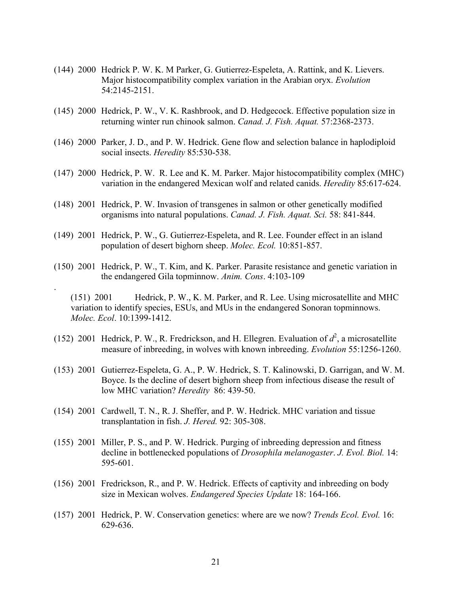- (144) 2000 Hedrick P. W. K. M Parker, G. Gutierrez-Espeleta, A. Rattink, and K. Lievers. Major histocompatibility complex variation in the Arabian oryx. *Evolution* 54:2145-2151.
- (145) 2000 Hedrick, P. W., V. K. Rashbrook, and D. Hedgecock. Effective population size in returning winter run chinook salmon. *Canad. J. Fish. Aquat.* 57:2368-2373.
- (146) 2000 Parker, J. D., and P. W. Hedrick. Gene flow and selection balance in haplodiploid social insects. *Heredity* 85:530-538.
- (147) 2000 Hedrick, P. W. R. Lee and K. M. Parker. Major histocompatibility complex (MHC) variation in the endangered Mexican wolf and related canids. *Heredity* 85:617-624.
- (148) 2001 Hedrick, P. W. Invasion of transgenes in salmon or other genetically modified organisms into natural populations. *Canad. J. Fish. Aquat. Sci.* 58: 841-844.
- (149) 2001 Hedrick, P. W., G. Gutierrez-Espeleta, and R. Lee. Founder effect in an island population of desert bighorn sheep. *Molec. Ecol.* 10:851-857.

.

(150) 2001 Hedrick, P. W., T. Kim, and K. Parker. Parasite resistance and genetic variation in the endangered Gila topminnow. *Anim. Cons*. 4:103-109

(151) 2001 Hedrick, P. W., K. M. Parker, and R. Lee. Using microsatellite and MHC variation to identify species, ESUs, and MUs in the endangered Sonoran topminnows. *Molec. Ecol*. 10:1399-1412.

- (152) 2001 Hedrick, P. W., R. Fredrickson, and H. Ellegren. Evaluation of  $d^2$ , a microsatellite measure of inbreeding, in wolves with known inbreeding. *Evolution* 55:1256-1260.
- (153) 2001 Gutierrez-Espeleta, G. A., P. W. Hedrick, S. T. Kalinowski, D. Garrigan, and W. M. Boyce. Is the decline of desert bighorn sheep from infectious disease the result of low MHC variation? *Heredity* 86: 439-50.
- (154) 2001 Cardwell, T. N., R. J. Sheffer, and P. W. Hedrick. MHC variation and tissue transplantation in fish. *J. Hered.* 92: 305-308.
- (155) 2001 Miller, P. S., and P. W. Hedrick. Purging of inbreeding depression and fitness decline in bottlenecked populations of *Drosophila melanogaster*. *J. Evol. Biol.* 14: 595-601.
- (156) 2001 Fredrickson, R., and P. W. Hedrick. Effects of captivity and inbreeding on body size in Mexican wolves. *Endangered Species Update* 18: 164-166.
- (157) 2001 Hedrick, P. W. Conservation genetics: where are we now? *Trends Ecol. Evol.* 16: 629-636.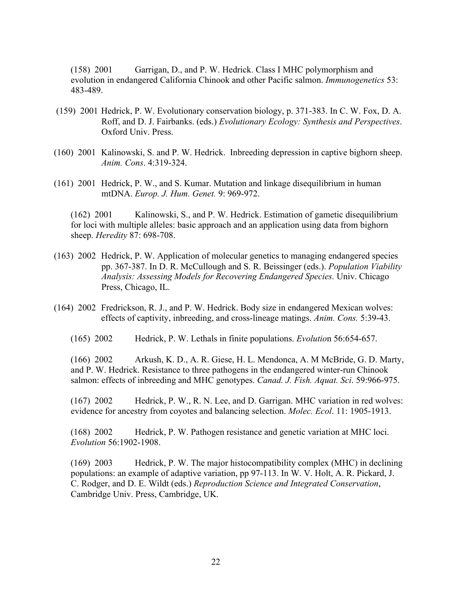(158) 2001 Garrigan, D., and P. W. Hedrick. Class I MHC polymorphism and evolution in endangered California Chinook and other Pacific salmon. *Immunogenetics* 53: 483-489.

- (159) 2001 Hedrick, P. W. Evolutionary conservation biology, p. 371-383. In C. W. Fox, D. A. Roff, and D. J. Fairbanks. (eds.) *Evolutionary Ecology: Synthesis and Perspectives*. Oxford Univ. Press.
- (160) 2001 Kalinowski, S. and P. W. Hedrick. Inbreeding depression in captive bighorn sheep. *Anim. Cons*. 4:319-324.
- (161) 2001 Hedrick, P. W., and S. Kumar. Mutation and linkage disequilibrium in human mtDNA. *Europ. J. Hum. Genet.* 9: 969-972.

(162) 2001 Kalinowski, S., and P. W. Hedrick. Estimation of gametic disequilibrium for loci with multiple alleles: basic approach and an application using data from bighorn sheep. *Heredity* 87: 698-708.

- (163) 2002 Hedrick, P. W. Application of molecular genetics to managing endangered species pp. 367-387. In D. R. McCullough and S. R. Beissinger (eds.). *Population Viability Analysis: Assessing Models for Recovering Endangered Species.* Univ. Chicago Press, Chicago, IL.
- (164) 2002 Fredrickson, R. J., and P. W. Hedrick. Body size in endangered Mexican wolves: effects of captivity, inbreeding, and cross-lineage matings. *Anim. Cons.* 5:39-43.
	- (165) 2002 Hedrick, P. W. Lethals in finite populations. *Evolutio*n 56:654-657.

(166) 2002 Arkush, K. D., A. R. Giese, H. L. Mendonca, A. M McBride, G. D. Marty, and P. W. Hedrick. Resistance to three pathogens in the endangered winter-run Chinook salmon: effects of inbreeding and MHC genotypes. *Canad. J. Fish. Aquat. Sci*. 59:966-975.

(167) 2002 Hedrick, P. W., R. N. Lee, and D. Garrigan. MHC variation in red wolves: evidence for ancestry from coyotes and balancing selection. *Molec. Ecol*. 11: 1905-1913.

(168) 2002 Hedrick, P. W. Pathogen resistance and genetic variation at MHC loci. *Evolution* 56:1902-1908.

(169) 2003 Hedrick, P. W. The major histocompatibility complex (MHC) in declining populations: an example of adaptive variation, pp 97-113. In W. V. Holt, A. R. Pickard, J. C. Rodger, and D. E. Wildt (eds.) *Reproduction Science and Integrated Conservation*, Cambridge Univ. Press, Cambridge, UK.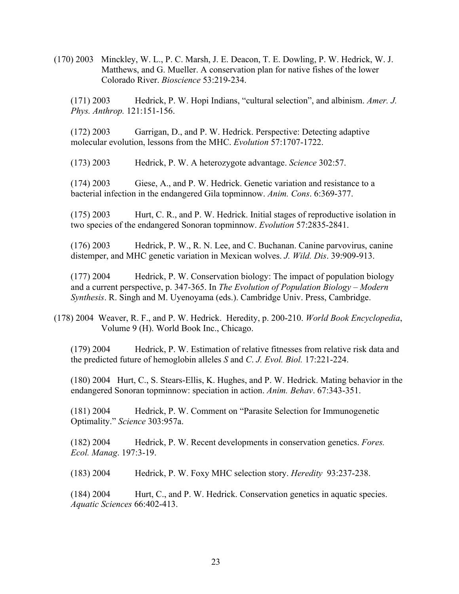(170) 2003 Minckley, W. L., P. C. Marsh, J. E. Deacon, T. E. Dowling, P. W. Hedrick, W. J. Matthews, and G. Mueller. A conservation plan for native fishes of the lower Colorado River. *Bioscience* 53:219-234.

(171) 2003 Hedrick, P. W. Hopi Indians, "cultural selection", and albinism. *Amer. J. Phys. Anthrop.* 121:151-156.

(172) 2003 Garrigan, D., and P. W. Hedrick. Perspective: Detecting adaptive molecular evolution, lessons from the MHC. *Evolution* 57:1707-1722.

(173) 2003 Hedrick, P. W. A heterozygote advantage. *Science* 302:57.

(174) 2003 Giese, A., and P. W. Hedrick. Genetic variation and resistance to a bacterial infection in the endangered Gila topminnow. *Anim. Cons*. 6:369-377.

(175) 2003 Hurt, C. R., and P. W. Hedrick. Initial stages of reproductive isolation in two species of the endangered Sonoran topminnow. *Evolution* 57:2835-2841.

(176) 2003 Hedrick, P. W., R. N. Lee, and C. Buchanan. Canine parvovirus, canine distemper, and MHC genetic variation in Mexican wolves. *J. Wild. Dis*. 39:909-913.

(177) 2004 Hedrick, P. W. Conservation biology: The impact of population biology and a current perspective, p. 347-365. In *The Evolution of Population Biology – Modern Synthesis*. R. Singh and M. Uyenoyama (eds.). Cambridge Univ. Press, Cambridge.

 (178) 2004 Weaver, R. F., and P. W. Hedrick. Heredity, p. 200-210. *World Book Encyclopedia*, Volume 9 (H). World Book Inc., Chicago.

(179) 2004 Hedrick, P. W. Estimation of relative fitnesses from relative risk data and the predicted future of hemoglobin alleles *S* and *C*. *J. Evol. Biol.* 17:221-224.

(180) 2004 Hurt, C., S. Stears-Ellis, K. Hughes, and P. W. Hedrick. Mating behavior in the endangered Sonoran topminnow: speciation in action. *Anim. Behav*. 67:343-351.

(181) 2004 Hedrick, P. W. Comment on "Parasite Selection for Immunogenetic Optimality." *Science* 303:957a.

(182) 2004 Hedrick, P. W. Recent developments in conservation genetics. *Fores. Ecol. Manag*. 197:3-19.

(183) 2004 Hedrick, P. W. Foxy MHC selection story. *Heredity* 93:237-238.

(184) 2004 Hurt, C., and P. W. Hedrick. Conservation genetics in aquatic species. *Aquatic Sciences* 66:402-413.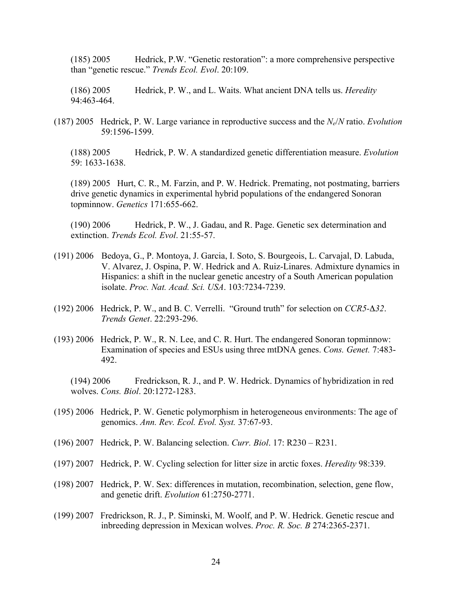(185) 2005 Hedrick, P.W. "Genetic restoration": a more comprehensive perspective than "genetic rescue." *Trends Ecol. Evol*. 20:109.

(186) 2005 Hedrick, P. W., and L. Waits. What ancient DNA tells us. *Heredity* 94:463-464.

(187) 2005 Hedrick, P. W. Large variance in reproductive success and the *Ne*/*N* ratio. *Evolution* 59:1596-1599.

(188) 2005 Hedrick, P. W. A standardized genetic differentiation measure. *Evolution* 59: 1633-1638.

(189) 2005 Hurt, C. R., M. Farzin, and P. W. Hedrick. Premating, not postmating, barriers drive genetic dynamics in experimental hybrid populations of the endangered Sonoran topminnow. *Genetics* 171:655-662.

(190) 2006 Hedrick, P. W., J. Gadau, and R. Page. Genetic sex determination and extinction. *Trends Ecol. Evol*. 21:55-57.

- (191) 2006 Bedoya, G., P. Montoya, J. Garcia, I. Soto, S. Bourgeois, L. Carvajal, D. Labuda, V. Alvarez, J. Ospina, P. W. Hedrick and A. Ruiz-Linares. Admixture dynamics in Hispanics: a shift in the nuclear genetic ancestry of a South American population isolate. *Proc. Nat. Acad. Sci. USA*. 103:7234-7239.
- (192) 2006 Hedrick, P. W., and B. C. Verrelli. "Ground truth" for selection on *CCR5-*Δ*32*. *Trends Genet*. 22:293-296.
- (193) 2006 Hedrick, P. W., R. N. Lee, and C. R. Hurt. The endangered Sonoran topminnow: Examination of species and ESUs using three mtDNA genes. *Cons. Genet.* 7:483- 492.

(194) 2006 Fredrickson, R. J., and P. W. Hedrick. Dynamics of hybridization in red wolves. *Cons. Biol*. 20:1272-1283.

- (195) 2006 Hedrick, P. W. Genetic polymorphism in heterogeneous environments: The age of genomics. *Ann. Rev. Ecol. Evol. Syst.* 37:67-93.
- (196) 2007 Hedrick, P. W. Balancing selection. *Curr. Biol*. 17: R230 R231.
- (197) 2007 Hedrick, P. W. Cycling selection for litter size in arctic foxes. *Heredity* 98:339.
- (198) 2007 Hedrick, P. W. Sex: differences in mutation, recombination, selection, gene flow, and genetic drift. *Evolution* 61:2750-2771.
- (199) 2007 Fredrickson, R. J., P. Siminski, M. Woolf, and P. W. Hedrick. Genetic rescue and inbreeding depression in Mexican wolves. *Proc. R. Soc. B* 274:2365-2371.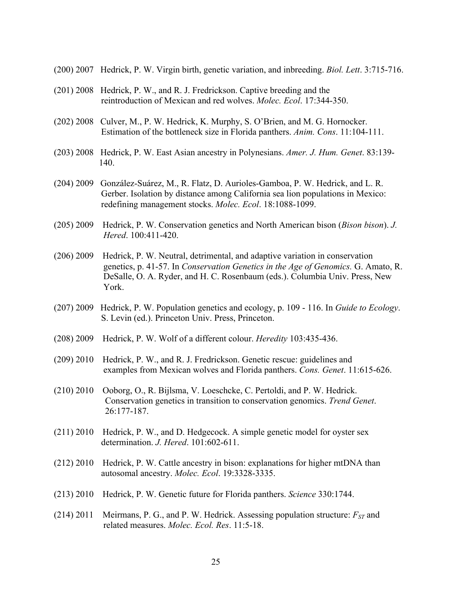- (200) 2007 Hedrick, P. W. Virgin birth, genetic variation, and inbreeding. *Biol. Lett*. 3:715-716.
- (201) 2008 Hedrick, P. W., and R. J. Fredrickson. Captive breeding and the reintroduction of Mexican and red wolves. *Molec. Ecol*. 17:344-350.
- (202) 2008 Culver, M., P. W. Hedrick, K. Murphy, S. O'Brien, and M. G. Hornocker. Estimation of the bottleneck size in Florida panthers. *Anim. Cons*. 11:104-111.
- (203) 2008 Hedrick, P. W. East Asian ancestry in Polynesians. *Amer. J. Hum. Genet*. 83:139- 140.
- (204) 2009 González-Suárez, M., R. Flatz, D. Aurioles-Gamboa, P. W. Hedrick, and L. R. Gerber. Isolation by distance among California sea lion populations in Mexico: redefining management stocks. *Molec. Ecol*. 18:1088-1099.
- (205) 2009 Hedrick, P. W. Conservation genetics and North American bison (*Bison bison*). *J. Hered*. 100:411-420.
- (206) 2009 Hedrick, P. W. Neutral, detrimental, and adaptive variation in conservation genetics, p. 41-57. In *Conservation Genetics in the Age of Genomics.* G. Amato, R. DeSalle, O. A. Ryder, and H. C. Rosenbaum (eds.). Columbia Univ. Press, New York.
- (207) 2009 Hedrick, P. W. Population genetics and ecology, p. 109 116. In *Guide to Ecology*. S. Levin (ed.). Princeton Univ. Press, Princeton.
- (208) 2009 Hedrick, P. W. Wolf of a different colour. *Heredity* 103:435-436.
- (209) 2010 Hedrick, P. W., and R. J. Fredrickson. Genetic rescue: guidelines and examples from Mexican wolves and Florida panthers. *Cons. Genet*. 11:615-626.
- (210) 2010 Ooborg, O., R. Bijlsma, V. Loeschcke, C. Pertoldi, and P. W. Hedrick. Conservation genetics in transition to conservation genomics. *Trend Genet*. 26:177-187.
- (211) 2010 Hedrick, P. W., and D. Hedgecock. A simple genetic model for oyster sex determination. *J. Hered*. 101:602-611.
- (212) 2010 Hedrick, P. W. Cattle ancestry in bison: explanations for higher mtDNA than autosomal ancestry. *Molec. Ecol*. 19:3328-3335.
- (213) 2010 Hedrick, P. W. Genetic future for Florida panthers. *Science* 330:1744.
- (214) 2011 Meirmans, P. G., and P. W. Hedrick. Assessing population structure:  $F_{ST}$  and related measures. *Molec. Ecol. Res*. 11:5-18.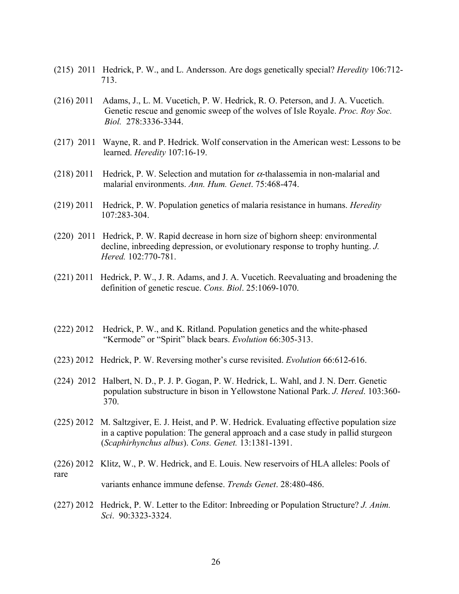- (215) 2011 Hedrick, P. W., and L. Andersson. Are dogs genetically special? *Heredity* 106:712- 713.
- (216) 2011 Adams, J., L. M. Vucetich, P. W. Hedrick, R. O. Peterson, and J. A. Vucetich. Genetic rescue and genomic sweep of the wolves of Isle Royale. *Proc. Roy Soc. Biol.* 278:3336-3344.
- (217) 2011 Wayne, R. and P. Hedrick. Wolf conservation in the American west: Lessons to be learned. *Heredity* 107:16-19.
- (218) 2011 Hedrick, P. W. Selection and mutation for  $\alpha$ -thalassemia in non-malarial and malarial environments. *Ann. Hum. Genet*. 75:468-474.
- (219) 2011 Hedrick, P. W. Population genetics of malaria resistance in humans. *Heredity* 107:283-304.
- (220) 2011 Hedrick, P. W. Rapid decrease in horn size of bighorn sheep: environmental decline, inbreeding depression, or evolutionary response to trophy hunting. *J. Hered.* 102:770-781.
- (221) 2011 Hedrick, P. W., J. R. Adams, and J. A. Vucetich. Reevaluating and broadening the definition of genetic rescue. *Cons. Biol*. 25:1069-1070.
- (222) 2012 Hedrick, P. W., and K. Ritland. Population genetics and the white-phased "Kermode" or "Spirit" black bears. *Evolution* 66:305-313.
- (223) 2012 Hedrick, P. W. Reversing mother's curse revisited. *Evolution* 66:612-616.
- (224) 2012 Halbert, N. D., P. J. P. Gogan, P. W. Hedrick, L. Wahl, and J. N. Derr. Genetic population substructure in bison in Yellowstone National Park. *J. Hered*. 103:360- 370.
- (225) 2012 M. Saltzgiver, E. J. Heist, and P. W. Hedrick. Evaluating effective population size in a captive population: The general approach and a case study in pallid sturgeon (*Scaphirhynchus albus*). *Cons. Genet.* 13:1381-1391.
- (226) 2012 Klitz, W., P. W. Hedrick, and E. Louis. New reservoirs of HLA alleles: Pools of rare variants enhance immune defense. *Trends Genet*. 28:480-486.
- (227) 2012 Hedrick, P. W. Letter to the Editor: Inbreeding or Population Structure? *J. Anim. Sci*. 90:3323-3324.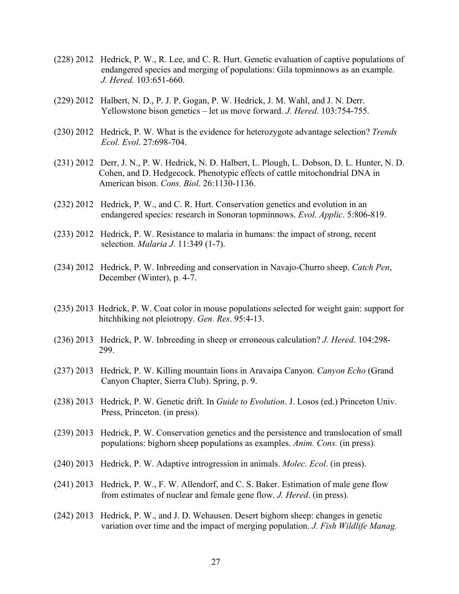- (228) 2012 Hedrick, P. W., R. Lee, and C. R. Hurt. Genetic evaluation of captive populations of endangered species and merging of populations: Gila topminnows as an example. *J. Hered.* 103:651-660.
- (229) 2012 Halbert, N. D., P. J. P. Gogan, P. W. Hedrick, J. M. Wahl, and J. N. Derr. Yellowstone bison genetics – let us move forward. *J. Hered*. 103:754-755.
- (230) 2012 Hedrick, P. W. What is the evidence for heterozygote advantage selection? *Trends Ecol. Evol*. 27:698-704.
- (231) 2012 Derr, J. N., P. W. Hedrick, N. D. Halbert, L. Plough, L. Dobson, D. L. Hunter, N. D. Cohen, and D. Hedgecock. Phenotypic effects of cattle mitochondrial DNA in American bison. *Cons. Biol*. 26:1130-1136.
- (232) 2012 Hedrick, P. W., and C. R. Hurt. Conservation genetics and evolution in an endangered species: research in Sonoran topminnows. *Evol. Applic*. 5:806-819.
- (233) 2012 Hedrick, P. W. Resistance to malaria in humans: the impact of strong, recent selection. *Malaria J*. 11:349 (1-7).
- (234) 2012 Hedrick, P. W. Inbreeding and conservation in Navajo-Churro sheep. *Catch Pen*, December (Winter), p. 4-7.
- (235) 2013 Hedrick, P. W. Coat color in mouse populations selected for weight gain: support for hitchhiking not pleiotropy. *Gen. Res*. 95:4-13.
- (236) 2013 Hedrick, P. W. Inbreeding in sheep or erroneous calculation? *J. Hered*. 104:298- 299.
- (237) 2013 Hedrick, P. W. Killing mountain lions in Aravaipa Canyon. *Canyon Echo* (Grand Canyon Chapter, Sierra Club). Spring, p. 9.
- (238) 2013 Hedrick, P. W. Genetic drift. In *Guide to Evolution*. J. Losos (ed.) Princeton Univ. Press, Princeton. (in press).
- (239) 2013 Hedrick, P. W. Conservation genetics and the persistence and translocation of small populations: bighorn sheep populations as examples. *Anim. Cons.* (in press).
- (240) 2013 Hedrick, P. W. Adaptive introgression in animals. *Molec. Ecol*. (in press).
- (241) 2013 Hedrick, P. W., F. W. Allendorf, and C. S. Baker. Estimation of male gene flow from estimates of nuclear and female gene flow. *J. Hered*. (in press).
- (242) 2013 Hedrick, P. W., and J. D. Wehausen. Desert bighorn sheep: changes in genetic variation over time and the impact of merging population. *J. Fish Wildlife Manag.*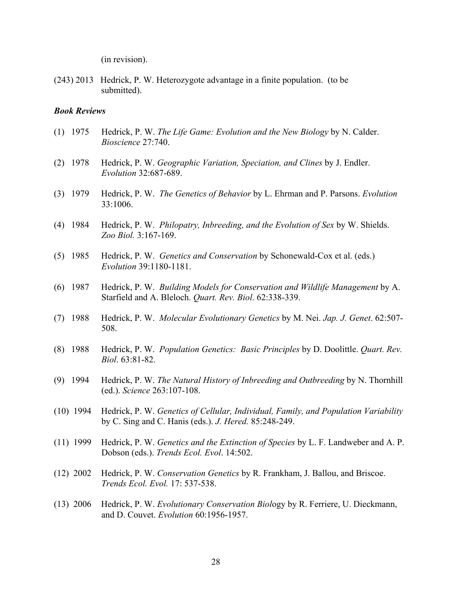(in revision).

(243) 2013 Hedrick, P. W. Heterozygote advantage in a finite population. (to be submitted).

#### *Book Reviews*

- (1) 1975 Hedrick, P. W. *The Life Game: Evolution and the New Biology* by N. Calder. *Bioscience* 27:740.
- (2) 1978 Hedrick, P. W. *Geographic Variation, Speciation, and Clines* by J. Endler. *Evolution* 32:687-689.
- (3) 1979 Hedrick, P. W. *The Genetics of Behavior* by L. Ehrman and P. Parsons. *Evolution*  33:1006.
- (4) 1984 Hedrick, P. W. *Philopatry, Inbreeding, and the Evolution of Sex* by W. Shields. *Zoo Biol.* 3:167-169.
- (5) 1985 Hedrick, P. W. *Genetics and Conservation* by Schonewald-Cox et al. (eds.) *Evolution* 39:1180-1181.
- (6) 1987 Hedrick, P. W. *Building Models for Conservation and Wildlife Management* by A. Starfield and A. Bleloch. *Quart. Rev. Biol*. 62:338-339.
- (7) 1988 Hedrick, P. W. *Molecular Evolutionary Genetics* by M. Nei. *Jap. J. Genet*. 62:507- 508.
- (8) 1988 Hedrick, P. W. *Population Genetics: Basic Principles* by D. Doolittle. *Quart. Rev. Biol*. 63:81-82.
- (9) 1994 Hedrick, P. W. *The Natural History of Inbreeding and Outbreeding* by N. Thornhill (ed.). *Science* 263:107-108.
- (10) 1994 Hedrick, P. W. *Genetics of Cellular, Individual, Family, and Population Variability*  by C. Sing and C. Hanis (eds.). *J. Hered.* 85:248-249.
- (11) 1999 Hedrick, P. W. *Genetics and the Extinction of Species* by L. F. Landweber and A. P. Dobson (eds.). *Trends Ecol. Evol*. 14:502.
- (12) 2002 Hedrick, P. W. *Conservation Genetics* by R. Frankham, J. Ballou, and Briscoe. *Trends Ecol. Evol.* 17: 537-538.
- (13) 2006 Hedrick, P. W. *Evolutionary Conservation Biol*ogy by R. Ferriere, U. Dieckmann, and D. Couvet. *Evolution* 60:1956-1957.